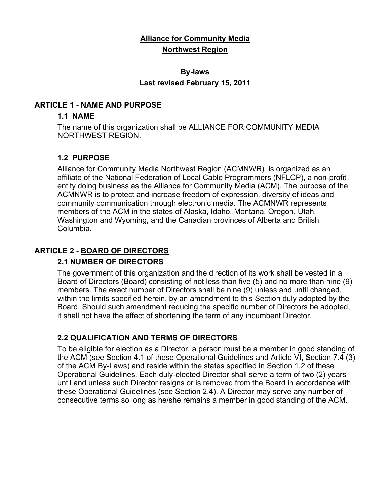# **Alliance for Community Media Northwest Region**

# **By-laws Last revised February 15, 2011**

### **ARTICLE 1 - NAME AND PURPOSE**

#### **1.1 NAME**

The name of this organization shall be ALLIANCE FOR COMMUNITY MEDIA NORTHWEST REGION.

## **1.2 PURPOSE**

Alliance for Community Media Northwest Region (ACMNWR) is organized as an affiliate of the National Federation of Local Cable Programmers (NFLCP), a non-profit entity doing business as the Alliance for Community Media (ACM). The purpose of the ACMNWR is to protect and increase freedom of expression, diversity of ideas and community communication through electronic media. The ACMNWR represents members of the ACM in the states of Alaska, Idaho, Montana, Oregon, Utah, Washington and Wyoming, and the Canadian provinces of Alberta and British Columbia.

## **ARTICLE 2 - BOARD OF DIRECTORS**

#### **2.1 NUMBER OF DIRECTORS**

The government of this organization and the direction of its work shall be vested in a Board of Directors (Board) consisting of not less than five (5) and no more than nine (9) members. The exact number of Directors shall be nine (9) unless and until changed, within the limits specified herein, by an amendment to this Section duly adopted by the Board. Should such amendment reducing the specific number of Directors be adopted, it shall not have the effect of shortening the term of any incumbent Director.

## **2.2 QUALIFICATION AND TERMS OF DIRECTORS**

To be eligible for election as a Director, a person must be a member in good standing of the ACM (see Section 4.1 of these Operational Guidelines and Article VI, Section 7.4 (3) of the ACM By-Laws) and reside within the states specified in Section 1.2 of these Operational Guidelines. Each duly-elected Director shall serve a term of two (2) years until and unless such Director resigns or is removed from the Board in accordance with these Operational Guidelines (see Section 2.4). A Director may serve any number of consecutive terms so long as he/she remains a member in good standing of the ACM.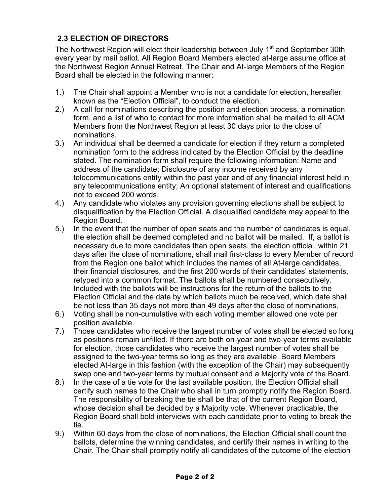# **2.3 ELECTION OF DIRECTORS**

The Northwest Region will elect their leadership between July 1<sup>st</sup> and September 30th every year by mail ballot. All Region Board Members elected at-large assume office at the Northwest Region Annual Retreat. The Chair and At-large Members of the Region Board shall be elected in the following manner:

- 1.) The Chair shall appoint a Member who is not a candidate for election, hereafter known as the "Election Official", to conduct the election.
- 2.) A call for nominations describing the position and election process, a nomination form, and a list of who to contact for more information shall be mailed to all ACM Members from the Northwest Region at least 30 days prior to the close of nominations.
- 3.) An individual shall be deemed a candidate for election if they return a completed nomination form to the address indicated by the Election Official by the deadline stated. The nomination form shall require the following information: Name and address of the candidate; Disclosure of any income received by any telecommunications entity within the past year and of any financial interest held in any telecommunications entity; An optional statement of interest and qualifications not to exceed 200 words.
- 4.) Any candidate who violates any provision governing elections shall be subject to disqualification by the Election Official. A disqualified candidate may appeal to the Region Board.
- 5.) In the event that the number of open seats and the number of candidates is equal, the election shall be deemed completed and no ballot will be mailed. If, a ballot is necessary due to more candidates than open seats, the election official, within 21 days after the close of nominations, shall mail first-class to every Member of record from the Region one ballot which includes the names of all At-large candidates, their financial disclosures, and the first 200 words of their candidates' statements, retyped into a common format. The ballots shall be numbered consecutively. Included with the ballots will be instructions for the return of the ballots to the Election Official and the date by which ballots much be received, which date shall be not less than 35 days not more than 49 days after the close of nominations.
- 6.) Voting shall be non-cumulative with each voting member allowed one vote per position available.
- 7.) Those candidates who receive the largest number of votes shall be elected so long as positions remain unfilled. If there are both on-year and two-year terms available for election, those candidates who receive the largest number of votes shall be assigned to the two-year terms so long as they are available. Board Members elected At-large in this fashion (with the exception of the Chair) may subsequently swap one and two-year terms by mutual consent and a Majority vote of the Board.
- 8.) In the case of a tie vote for the last available position, the Election Official shall certify such names to the Chair who shall in turn promptly notify the Region Board. The responsibility of breaking the tie shall be that of the current Region Board, whose decision shall be decided by a Majority vote. Whenever practicable, the Region Board shall bold interviews with each candidate prior to voting to break the tie.
- 9.) Within 60 days from the close of nominations, the Election Official shall count the ballots, determine the winning candidates, and certify their names in writing to the Chair. The Chair shall promptly notify all candidates of the outcome of the election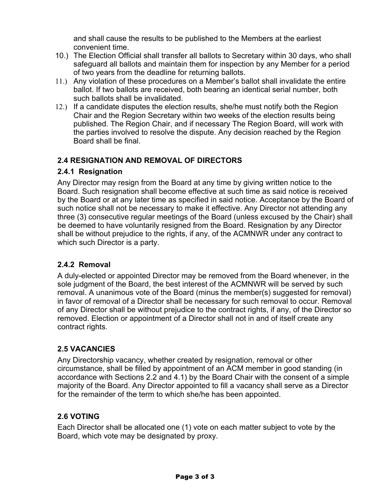and shall cause the results to be published to the Members at the earliest convenient time.

- 10.) The Election Official shall transfer all ballots to Secretary within 30 days, who shall safeguard all ballots and maintain them for inspection by any Member for a period of two years from the deadline for returning ballots.
- 11.) Any violation of these procedures on a Member's ballot shall invalidate the entire ballot. If two ballots are received, both bearing an identical serial number, both such ballots shall be invalidated.
- 12.) If a candidate disputes the election results, she/he must notify both the Region Chair and the Region Secretary within two weeks of the election results being published. The Region Chair, and if necessary The Region Board, will work with the parties involved to resolve the dispute. Any decision reached by the Region Board shall be final.

## **2.4 RESIGNATION AND REMOVAL OF DIRECTORS**

## **2.4.1 Resignation**

Any Director may resign from the Board at any time by giving written notice to the Board. Such resignation shall become effective at such time as said notice is received by the Board or at any later time as specified in said notice. Acceptance by the Board of such notice shall not be necessary to make it effective. Any Director not attending any three (3) consecutive regular meetings of the Board (unless excused by the Chair) shall be deemed to have voluntarily resigned from the Board. Resignation by any Director shall be without prejudice to the rights, if any, of the ACMNWR under any contract to which such Director is a party.

# **2.4.2 Removal**

A duly-elected or appointed Director may be removed from the Board whenever, in the sole judgment of the Board, the best interest of the ACMNWR will be served by such removal. A unanimous vote of the Board (minus the member(s) suggested for removal) in favor of removal of a Director shall be necessary for such removal to occur. Removal of any Director shall be without prejudice to the contract rights, if any, of the Director so removed. Election or appointment of a Director shall not in and of itself create any contract rights.

# **2.5 VACANCIES**

Any Directorship vacancy, whether created by resignation, removal or other circumstance, shall be filled by appointment of an ACM member in good standing (in accordance with Sections 2.2 and 4.1) by the Board Chair with the consent of a simple majority of the Board. Any Director appointed to fill a vacancy shall serve as a Director for the remainder of the term to which she/he has been appointed.

## **2.6 VOTING**

Each Director shall be allocated one (1) vote on each matter subject to vote by the Board, which vote may be designated by proxy.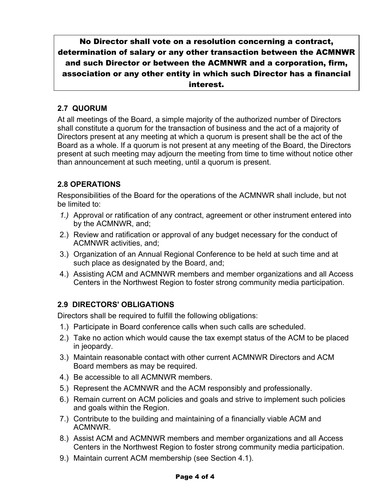No Director shall vote on a resolution concerning a contract, determination of salary or any other transaction between the ACMNWR and such Director or between the ACMNWR and a corporation, firm, association or any other entity in which such Director has a financial interest.

## **2.7 QUORUM**

At all meetings of the Board, a simple majority of the authorized number of Directors shall constitute a quorum for the transaction of business and the act of a majority of Directors present at any meeting at which a quorum is present shall be the act of the Board as a whole. If a quorum is not present at any meeting of the Board, the Directors present at such meeting may adjourn the meeting from time to time without notice other than announcement at such meeting, until a quorum is present.

# **2.8 OPERATIONS**

Responsibilities of the Board for the operations of the ACMNWR shall include, but not be limited to:

- *1.)* Approval or ratification of any contract, agreement or other instrument entered into by the ACMNWR, and;
- 2.) Review and ratification or approval of any budget necessary for the conduct of ACMNWR activities, and;
- 3.) Organization of an Annual Regional Conference to be held at such time and at such place as designated by the Board, and;
- 4.) Assisting ACM and ACMNWR members and member organizations and all Access Centers in the Northwest Region to foster strong community media participation.

## **2.9 DIRECTORS' OBLIGATIONS**

Directors shall be required to fulfill the following obligations:

- 1.) Participate in Board conference calls when such calls are scheduled.
- 2.) Take no action which would cause the tax exempt status of the ACM to be placed in jeopardy.
- 3.) Maintain reasonable contact with other current ACMNWR Directors and ACM Board members as may be required.
- 4.) Be accessible to all ACMNWR members.
- 5.) Represent the ACMNWR and the ACM responsibly and professionally.
- 6.) Remain current on ACM policies and goals and strive to implement such policies and goals within the Region.
- 7.) Contribute to the building and maintaining of a financially viable ACM and ACMNWR.
- 8.) Assist ACM and ACMNWR members and member organizations and all Access Centers in the Northwest Region to foster strong community media participation.
- 9.) Maintain current ACM membership (see Section 4.1).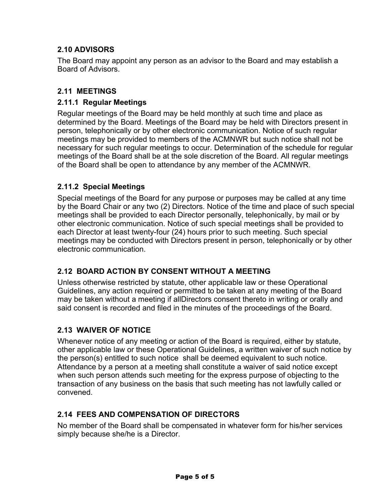# **2.10 ADVISORS**

The Board may appoint any person as an advisor to the Board and may establish a Board of Advisors.

### **2.11 MEETINGS**

### **2.11.1 Regular Meetings**

Regular meetings of the Board may be held monthly at such time and place as determined by the Board. Meetings of the Board may be held with Directors present in person, telephonically or by other electronic communication. Notice of such regular meetings may be provided to members of the ACMNWR but such notice shall not be necessary for such regular meetings to occur. Determination of the schedule for regular meetings of the Board shall be at the sole discretion of the Board. All regular meetings of the Board shall be open to attendance by any member of the ACMNWR.

### **2.11.2 Special Meetings**

Special meetings of the Board for any purpose or purposes may be called at any time by the Board Chair or any two (2) Directors. Notice of the time and place of such special meetings shall be provided to each Director personally, telephonically, by mail or by other electronic communication. Notice of such special meetings shall be provided to each Director at least twenty-four (24) hours prior to such meeting. Such special meetings may be conducted with Directors present in person, telephonically or by other electronic communication.

## **2.12 BOARD ACTION BY CONSENT WITHOUT A MEETING**

Unless otherwise restricted by statute, other applicable law or these Operational Guidelines, any action required or permitted to be taken at any meeting of the Board may be taken without a meeting if allDirectors consent thereto in writing or orally and said consent is recorded and filed in the minutes of the proceedings of the Board.

## **2.13 WAIVER OF NOTICE**

Whenever notice of any meeting or action of the Board is required, either by statute, other applicable law or these Operational Guidelines, a written waiver of such notice by the person(s) entitled to such notice shall be deemed equivalent to such notice. Attendance by a person at a meeting shall constitute a waiver of said notice except when such person attends such meeting for the express purpose of objecting to the transaction of any business on the basis that such meeting has not lawfully called or convened.

#### **2.14 FEES AND COMPENSATION OF DIRECTORS**

No member of the Board shall be compensated in whatever form for his/her services simply because she/he is a Director.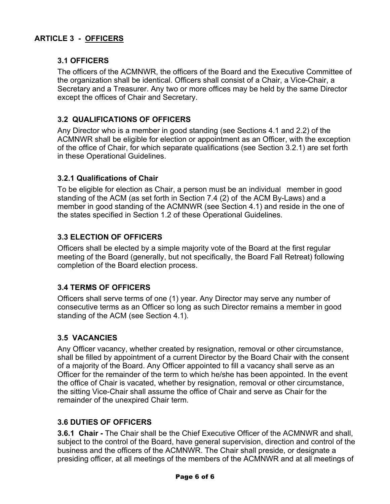## **3.1 OFFICERS**

The officers of the ACMNWR, the officers of the Board and the Executive Committee of the organization shall be identical. Officers shall consist of a Chair, a Vice-Chair, a Secretary and a Treasurer. Any two or more offices may be held by the same Director except the offices of Chair and Secretary.

### **3.2 QUALIFICATIONS OF OFFICERS**

Any Director who is a member in good standing (see Sections 4.1 and 2.2) of the ACMNWR shall be eligible for election or appointment as an Officer, with the exception of the office of Chair, for which separate qualifications (see Section 3.2.1) are set forth in these Operational Guidelines.

#### **3.2.1 Qualifications of Chair**

To be eligible for election as Chair, a person must be an individual member in good standing of the ACM (as set forth in Section 7.4 (2) of the ACM By-Laws) and a member in good standing of the ACMNWR (see Section 4.1) and reside in the one of the states specified in Section 1.2 of these Operational Guidelines.

## **3.3 ELECTION OF OFFICERS**

Officers shall be elected by a simple majority vote of the Board at the first regular meeting of the Board (generally, but not specifically, the Board Fall Retreat) following completion of the Board election process.

#### **3.4 TERMS OF OFFICERS**

Officers shall serve terms of one (1) year. Any Director may serve any number of consecutive terms as an Officer so long as such Director remains a member in good standing of the ACM (see Section 4.1).

#### **3.5 VACANCIES**

Any Officer vacancy, whether created by resignation, removal or other circumstance, shall be filled by appointment of a current Director by the Board Chair with the consent of a majority of the Board. Any Officer appointed to fill a vacancy shall serve as an Officer for the remainder of the term to which he/she has been appointed. In the event the office of Chair is vacated, whether by resignation, removal or other circumstance, the sitting Vice-Chair shall assume the office of Chair and serve as Chair for the remainder of the unexpired Chair term.

#### **3.6 DUTIES OF OFFICERS**

**3.6.1 Chair -** The Chair shall be the Chief Executive Officer of the ACMNWR and shall, subject to the control of the Board, have general supervision, direction and control of the business and the officers of the ACMNWR. The Chair shall preside, or designate a presiding officer, at all meetings of the members of the ACMNWR and at all meetings of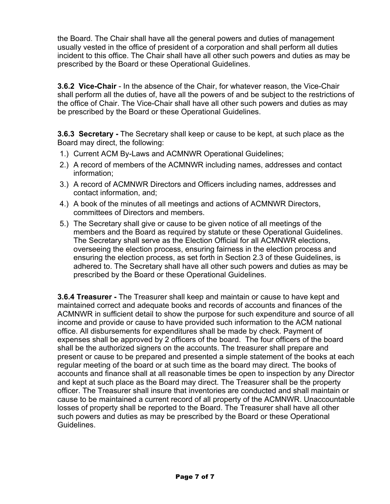the Board. The Chair shall have all the general powers and duties of management usually vested in the office of president of a corporation and shall perform all duties incident to this office. The Chair shall have all other such powers and duties as may be prescribed by the Board or these Operational Guidelines.

**3.6.2 Vice-Chair** - In the absence of the Chair, for whatever reason, the Vice-Chair shall perform all the duties of, have all the powers of and be subject to the restrictions of the office of Chair. The Vice-Chair shall have all other such powers and duties as may be prescribed by the Board or these Operational Guidelines.

**3.6.3 Secretary -** The Secretary shall keep or cause to be kept, at such place as the Board may direct, the following:

- 1.) Current ACM By-Laws and ACMNWR Operational Guidelines;
- 2.) A record of members of the ACMNWR including names, addresses and contact information;
- 3.) A record of ACMNWR Directors and Officers including names, addresses and contact information, and;
- 4.) A book of the minutes of all meetings and actions of ACMNWR Directors, committees of Directors and members.
- 5.) The Secretary shall give or cause to be given notice of all meetings of the members and the Board as required by statute or these Operational Guidelines. The Secretary shall serve as the Election Official for all ACMNWR elections, overseeing the election process, ensuring fairness in the election process and ensuring the election process, as set forth in Section 2.3 of these Guidelines, is adhered to. The Secretary shall have all other such powers and duties as may be prescribed by the Board or these Operational Guidelines.

**3.6.4 Treasurer -** The Treasurer shall keep and maintain or cause to have kept and maintained correct and adequate books and records of accounts and finances of the ACMNWR in sufficient detail to show the purpose for such expenditure and source of all income and provide or cause to have provided such information to the ACM national office. All disbursements for expenditures shall be made by check. Payment of expenses shall be approved by 2 officers of the board. The four officers of the board shall be the authorized signers on the accounts. The treasurer shall prepare and present or cause to be prepared and presented a simple statement of the books at each regular meeting of the board or at such time as the board may direct. The books of accounts and finance shall at all reasonable times be open to inspection by any Director and kept at such place as the Board may direct. The Treasurer shall be the property officer. The Treasurer shall insure that inventories are conducted and shall maintain or cause to be maintained a current record of all property of the ACMNWR. Unaccountable losses of property shall be reported to the Board. The Treasurer shall have all other such powers and duties as may be prescribed by the Board or these Operational Guidelines.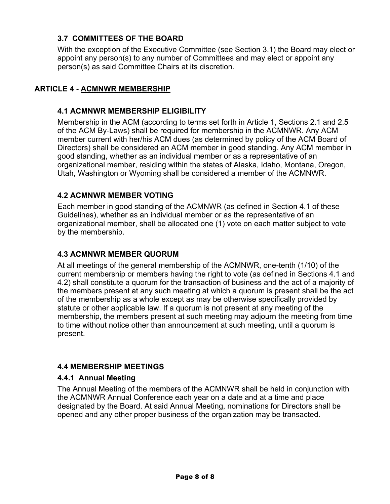## **3.7 COMMITTEES OF THE BOARD**

With the exception of the Executive Committee (see Section 3.1) the Board may elect or appoint any person(s) to any number of Committees and may elect or appoint any person(s) as said Committee Chairs at its discretion.

## **ARTICLE 4 - ACMNWR MEMBERSHIP**

### **4.1 ACMNWR MEMBERSHIP ELIGIBILITY**

Membership in the ACM (according to terms set forth in Article 1, Sections 2.1 and 2.5 of the ACM By-Laws) shall be required for membership in the ACMNWR. Any ACM member current with her/his ACM dues (as determined by policy of the ACM Board of Directors) shall be considered an ACM member in good standing. Any ACM member in good standing, whether as an individual member or as a representative of an organizational member, residing within the states of Alaska, Idaho, Montana, Oregon, Utah, Washington or Wyoming shall be considered a member of the ACMNWR.

## **4.2 ACMNWR MEMBER VOTING**

Each member in good standing of the ACMNWR (as defined in Section 4.1 of these Guidelines), whether as an individual member or as the representative of an organizational member, shall be allocated one (1) vote on each matter subject to vote by the membership.

#### **4.3 ACMNWR MEMBER QUORUM**

At all meetings of the general membership of the ACMNWR, one-tenth (1/10) of the current membership or members having the right to vote (as defined in Sections 4.1 and 4.2) shall constitute a quorum for the transaction of business and the act of a majority of the members present at any such meeting at which a quorum is present shall be the act of the membership as a whole except as may be otherwise specifically provided by statute or other applicable law. If a quorum is not present at any meeting of the membership, the members present at such meeting may adjourn the meeting from time to time without notice other than announcement at such meeting, until a quorum is present.

#### **4.4 MEMBERSHIP MEETINGS**

#### **4.4.1 Annual Meeting**

The Annual Meeting of the members of the ACMNWR shall be held in conjunction with the ACMNWR Annual Conference each year on a date and at a time and place designated by the Board. At said Annual Meeting, nominations for Directors shall be opened and any other proper business of the organization may be transacted.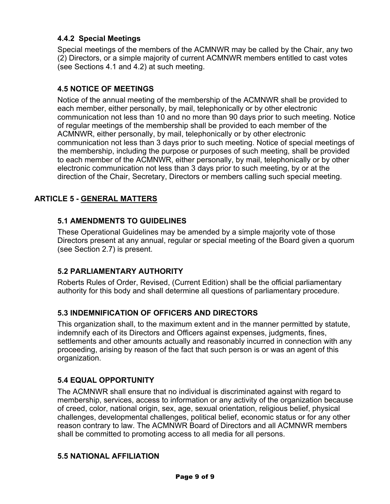## **4.4.2 Special Meetings**

Special meetings of the members of the ACMNWR may be called by the Chair, any two (2) Directors, or a simple majority of current ACMNWR members entitled to cast votes (see Sections 4.1 and 4.2) at such meeting.

### **4.5 NOTICE OF MEETINGS**

Notice of the annual meeting of the membership of the ACMNWR shall be provided to each member, either personally, by mail, telephonically or by other electronic communication not less than 10 and no more than 90 days prior to such meeting. Notice of regular meetings of the membership shall be provided to each member of the ACMNWR, either personally, by mail, telephonically or by other electronic communication not less than 3 days prior to such meeting. Notice of special meetings of the membership, including the purpose or purposes of such meeting, shall be provided to each member of the ACMNWR, either personally, by mail, telephonically or by other electronic communication not less than 3 days prior to such meeting, by or at the direction of the Chair, Secretary, Directors or members calling such special meeting.

## **ARTICLE 5 - GENERAL MATTERS**

### **5.1 AMENDMENTS TO GUIDELINES**

These Operational Guidelines may be amended by a simple majority vote of those Directors present at any annual, regular or special meeting of the Board given a quorum (see Section 2.7) is present.

## **5.2 PARLIAMENTARY AUTHORITY**

Roberts Rules of Order, Revised, (Current Edition) shall be the official parliamentary authority for this body and shall determine all questions of parliamentary procedure.

#### **5.3 INDEMNIFICATION OF OFFICERS AND DIRECTORS**

This organization shall, to the maximum extent and in the manner permitted by statute, indemnify each of its Directors and Officers against expenses, judgments, fines, settlements and other amounts actually and reasonably incurred in connection with any proceeding, arising by reason of the fact that such person is or was an agent of this organization.

#### **5.4 EQUAL OPPORTUNITY**

The ACMNWR shall ensure that no individual is discriminated against with regard to membership, services, access to information or any activity of the organization because of creed, color, national origin, sex, age, sexual orientation, religious belief, physical challenges, developmental challenges, political belief, economic status or for any other reason contrary to law. The ACMNWR Board of Directors and all ACMNWR members shall be committed to promoting access to all media for all persons.

#### **5.5 NATIONAL AFFILIATION**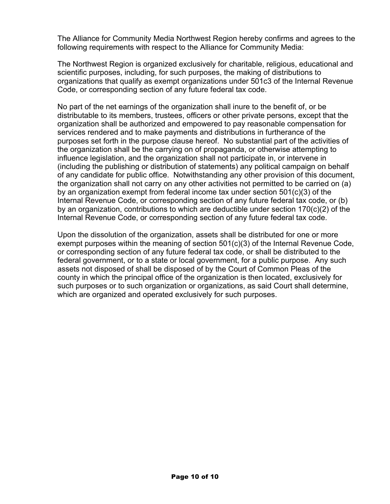The Alliance for Community Media Northwest Region hereby confirms and agrees to the following requirements with respect to the Alliance for Community Media:

The Northwest Region is organized exclusively for charitable, religious, educational and scientific purposes, including, for such purposes, the making of distributions to organizations that qualify as exempt organizations under 501c3 of the Internal Revenue Code, or corresponding section of any future federal tax code.

No part of the net earnings of the organization shall inure to the benefit of, or be distributable to its members, trustees, officers or other private persons, except that the organization shall be authorized and empowered to pay reasonable compensation for services rendered and to make payments and distributions in furtherance of the purposes set forth in the purpose clause hereof. No substantial part of the activities of the organization shall be the carrying on of propaganda, or otherwise attempting to influence legislation, and the organization shall not participate in, or intervene in (including the publishing or distribution of statements) any political campaign on behalf of any candidate for public office. Notwithstanding any other provision of this document, the organization shall not carry on any other activities not permitted to be carried on (a) by an organization exempt from federal income tax under section 501(c)(3) of the Internal Revenue Code, or corresponding section of any future federal tax code, or (b) by an organization, contributions to which are deductible under section 170(c)(2) of the Internal Revenue Code, or corresponding section of any future federal tax code.

Upon the dissolution of the organization, assets shall be distributed for one or more exempt purposes within the meaning of section 501(c)(3) of the Internal Revenue Code, or corresponding section of any future federal tax code, or shall be distributed to the federal government, or to a state or local government, for a public purpose. Any such assets not disposed of shall be disposed of by the Court of Common Pleas of the county in which the principal office of the organization is then located, exclusively for such purposes or to such organization or organizations, as said Court shall determine, which are organized and operated exclusively for such purposes.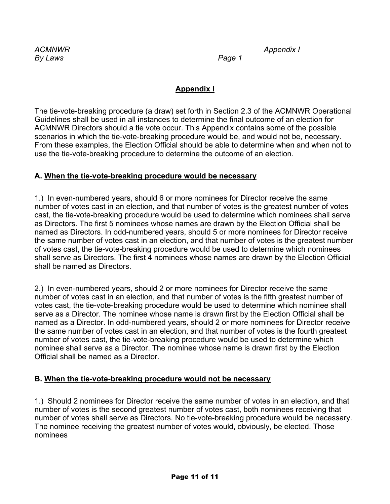*ACMNWR Appendix I*

# **Appendix I**

The tie-vote-breaking procedure (a draw) set forth in Section 2.3 of the ACMNWR Operational Guidelines shall be used in all instances to determine the final outcome of an election for ACMNWR Directors should a tie vote occur. This Appendix contains some of the possible scenarios in which the tie-vote-breaking procedure would be, and would not be, necessary. From these examples, the Election Official should be able to determine when and when not to use the tie-vote-breaking procedure to determine the outcome of an election.

## **A. When the tie-vote-breaking procedure would be necessary**

1.) In even-numbered years, should 6 or more nominees for Director receive the same number of votes cast in an election, and that number of votes is the greatest number of votes cast, the tie-vote-breaking procedure would be used to determine which nominees shall serve as Directors. The first 5 nominees whose names are drawn by the Election Official shall be named as Directors. In odd-numbered years, should 5 or more nominees for Director receive the same number of votes cast in an election, and that number of votes is the greatest number of votes cast, the tie-vote-breaking procedure would be used to determine which nominees shall serve as Directors. The first 4 nominees whose names are drawn by the Election Official shall be named as Directors.

2.) In even-numbered years, should 2 or more nominees for Director receive the same number of votes cast in an election, and that number of votes is the fifth greatest number of votes cast, the tie-vote-breaking procedure would be used to determine which nominee shall serve as a Director. The nominee whose name is drawn first by the Election Official shall be named as a Director. In odd-numbered years, should 2 or more nominees for Director receive the same number of votes cast in an election, and that number of votes is the fourth greatest number of votes cast, the tie-vote-breaking procedure would be used to determine which nominee shall serve as a Director. The nominee whose name is drawn first by the Election Official shall be named as a Director.

## **B. When the tie-vote-breaking procedure would not be necessary**

1.) Should 2 nominees for Director receive the same number of votes in an election, and that number of votes is the second greatest number of votes cast, both nominees receiving that number of votes shall serve as Directors. No tie-vote-breaking procedure would be necessary. The nominee receiving the greatest number of votes would, obviously, be elected. Those nominees